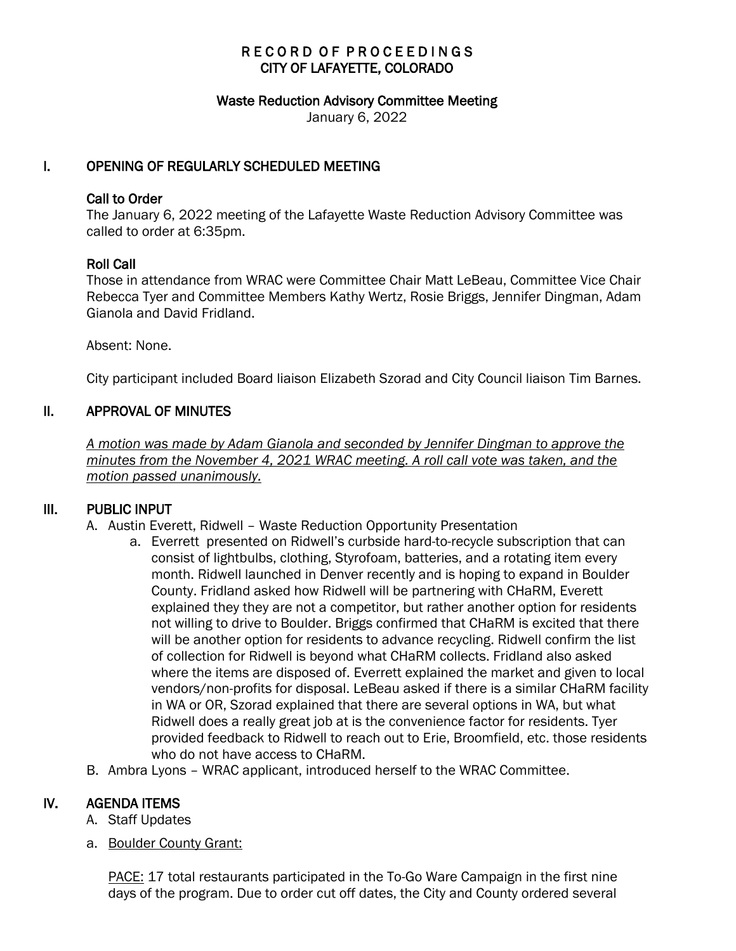# RECORD OF PROCEEDINGS CITY OF LAFAYETTE, COLORADO

#### Waste Reduction Advisory Committee Meeting

January 6, 2022

## I. OPENING OF REGULARLY SCHEDULED MEETING

#### Call to Order

The January 6, 2022 meeting of the Lafayette Waste Reduction Advisory Committee was called to order at 6:35pm.

#### Roll Call

Those in attendance from WRAC were Committee Chair Matt LeBeau, Committee Vice Chair Rebecca Tyer and Committee Members Kathy Wertz, Rosie Briggs, Jennifer Dingman, Adam Gianola and David Fridland.

Absent: None.

City participant included Board liaison Elizabeth Szorad and City Council liaison Tim Barnes.

## II. APPROVAL OF MINUTES

 *A motion was made by Adam Gianola and seconded by Jennifer Dingman to approve the minutes from the November 4, 2021 WRAC meeting. A roll call vote was taken, and the motion passed unanimously.* 

#### III. PUBLIC INPUT

- A. Austin Everett, Ridwell Waste Reduction Opportunity Presentation
	- a. Everrett presented on Ridwell's curbside hard-to-recycle subscription that can consist of lightbulbs, clothing, Styrofoam, batteries, and a rotating item every month. Ridwell launched in Denver recently and is hoping to expand in Boulder County. Fridland asked how Ridwell will be partnering with CHaRM, Everett explained they they are not a competitor, but rather another option for residents not willing to drive to Boulder. Briggs confirmed that CHaRM is excited that there will be another option for residents to advance recycling. Ridwell confirm the list of collection for Ridwell is beyond what CHaRM collects. Fridland also asked where the items are disposed of. Everrett explained the market and given to local vendors/non-profits for disposal. LeBeau asked if there is a similar CHaRM facility in WA or OR, Szorad explained that there are several options in WA, but what Ridwell does a really great job at is the convenience factor for residents. Tyer provided feedback to Ridwell to reach out to Erie, Broomfield, etc. those residents who do not have access to CHaRM.
- B. Ambra Lyons WRAC applicant, introduced herself to the WRAC Committee.

# IV. AGENDA ITEMS

- A. Staff Updates
- a. Boulder County Grant:

PACE: 17 total restaurants participated in the To-Go Ware Campaign in the first nine days of the program. Due to order cut off dates, the City and County ordered several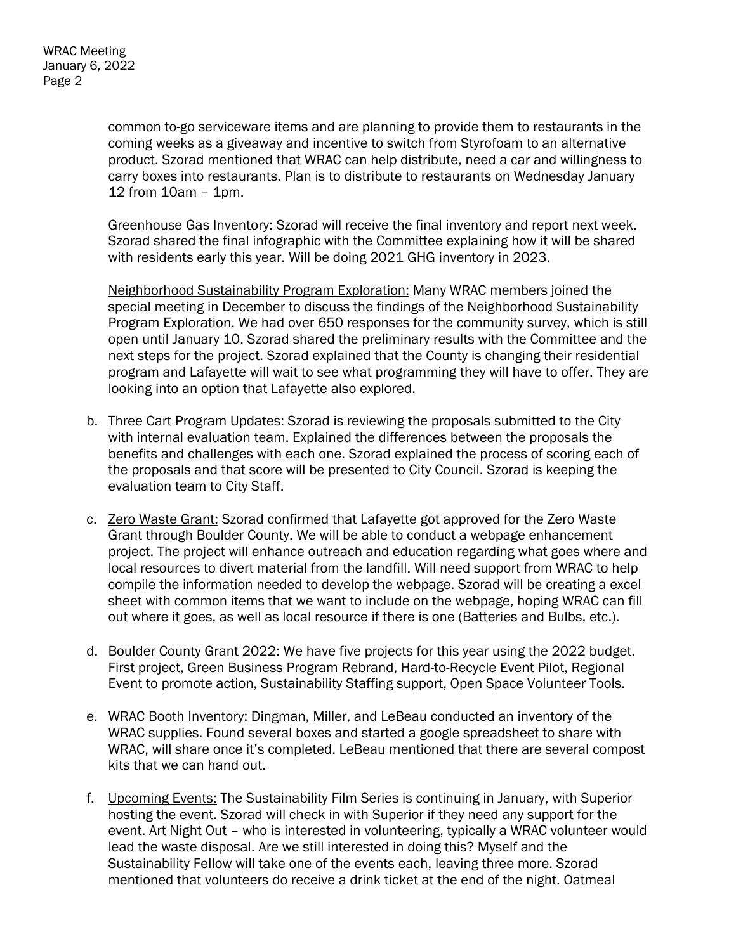common to-go serviceware items and are planning to provide them to restaurants in the coming weeks as a giveaway and incentive to switch from Styrofoam to an alternative product. Szorad mentioned that WRAC can help distribute, need a car and willingness to carry boxes into restaurants. Plan is to distribute to restaurants on Wednesday January 12 from 10am – 1pm.

Greenhouse Gas Inventory: Szorad will receive the final inventory and report next week. Szorad shared the final infographic with the Committee explaining how it will be shared with residents early this year. Will be doing 2021 GHG inventory in 2023.

Neighborhood Sustainability Program Exploration: Many WRAC members joined the special meeting in December to discuss the findings of the Neighborhood Sustainability Program Exploration. We had over 650 responses for the community survey, which is still open until January 10. Szorad shared the preliminary results with the Committee and the next steps for the project. Szorad explained that the County is changing their residential program and Lafayette will wait to see what programming they will have to offer. They are looking into an option that Lafayette also explored.

- b. Three Cart Program Updates: Szorad is reviewing the proposals submitted to the City with internal evaluation team. Explained the differences between the proposals the benefits and challenges with each one. Szorad explained the process of scoring each of the proposals and that score will be presented to City Council. Szorad is keeping the evaluation team to City Staff.
- c. Zero Waste Grant: Szorad confirmed that Lafayette got approved for the Zero Waste Grant through Boulder County. We will be able to conduct a webpage enhancement project. The project will enhance outreach and education regarding what goes where and local resources to divert material from the landfill. Will need support from WRAC to help compile the information needed to develop the webpage. Szorad will be creating a excel sheet with common items that we want to include on the webpage, hoping WRAC can fill out where it goes, as well as local resource if there is one (Batteries and Bulbs, etc.).
- d. Boulder County Grant 2022: We have five projects for this year using the 2022 budget. First project, Green Business Program Rebrand, Hard-to-Recycle Event Pilot, Regional Event to promote action, Sustainability Staffing support, Open Space Volunteer Tools.
- e. WRAC Booth Inventory: Dingman, Miller, and LeBeau conducted an inventory of the WRAC supplies. Found several boxes and started a google spreadsheet to share with WRAC, will share once it's completed. LeBeau mentioned that there are several compost kits that we can hand out.
- f. Upcoming Events: The Sustainability Film Series is continuing in January, with Superior hosting the event. Szorad will check in with Superior if they need any support for the event. Art Night Out – who is interested in volunteering, typically a WRAC volunteer would lead the waste disposal. Are we still interested in doing this? Myself and the Sustainability Fellow will take one of the events each, leaving three more. Szorad mentioned that volunteers do receive a drink ticket at the end of the night. Oatmeal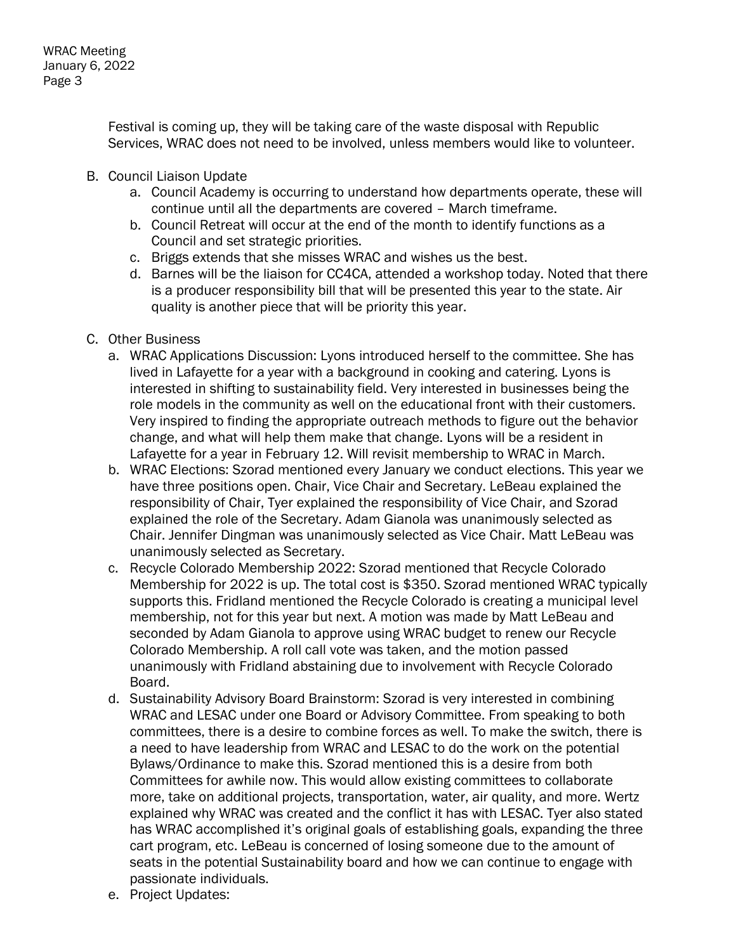Festival is coming up, they will be taking care of the waste disposal with Republic Services, WRAC does not need to be involved, unless members would like to volunteer.

- B. Council Liaison Update
	- a. Council Academy is occurring to understand how departments operate, these will continue until all the departments are covered – March timeframe.
	- b. Council Retreat will occur at the end of the month to identify functions as a Council and set strategic priorities.
	- c. Briggs extends that she misses WRAC and wishes us the best.
	- d. Barnes will be the liaison for CC4CA, attended a workshop today. Noted that there is a producer responsibility bill that will be presented this year to the state. Air quality is another piece that will be priority this year.
- C. Other Business
	- a. WRAC Applications Discussion: Lyons introduced herself to the committee. She has lived in Lafayette for a year with a background in cooking and catering. Lyons is interested in shifting to sustainability field. Very interested in businesses being the role models in the community as well on the educational front with their customers. Very inspired to finding the appropriate outreach methods to figure out the behavior change, and what will help them make that change. Lyons will be a resident in Lafayette for a year in February 12. Will revisit membership to WRAC in March.
	- b. WRAC Elections: Szorad mentioned every January we conduct elections. This year we have three positions open. Chair, Vice Chair and Secretary. LeBeau explained the responsibility of Chair, Tyer explained the responsibility of Vice Chair, and Szorad explained the role of the Secretary. Adam Gianola was unanimously selected as Chair. Jennifer Dingman was unanimously selected as Vice Chair. Matt LeBeau was unanimously selected as Secretary.
	- c. Recycle Colorado Membership 2022: Szorad mentioned that Recycle Colorado Membership for 2022 is up. The total cost is \$350. Szorad mentioned WRAC typically supports this. Fridland mentioned the Recycle Colorado is creating a municipal level membership, not for this year but next. A motion was made by Matt LeBeau and seconded by Adam Gianola to approve using WRAC budget to renew our Recycle Colorado Membership. A roll call vote was taken, and the motion passed unanimously with Fridland abstaining due to involvement with Recycle Colorado Board.
	- d. Sustainability Advisory Board Brainstorm: Szorad is very interested in combining WRAC and LESAC under one Board or Advisory Committee. From speaking to both committees, there is a desire to combine forces as well. To make the switch, there is a need to have leadership from WRAC and LESAC to do the work on the potential Bylaws/Ordinance to make this. Szorad mentioned this is a desire from both Committees for awhile now. This would allow existing committees to collaborate more, take on additional projects, transportation, water, air quality, and more. Wertz explained why WRAC was created and the conflict it has with LESAC. Tyer also stated has WRAC accomplished it's original goals of establishing goals, expanding the three cart program, etc. LeBeau is concerned of losing someone due to the amount of seats in the potential Sustainability board and how we can continue to engage with passionate individuals.
	- e. Project Updates: